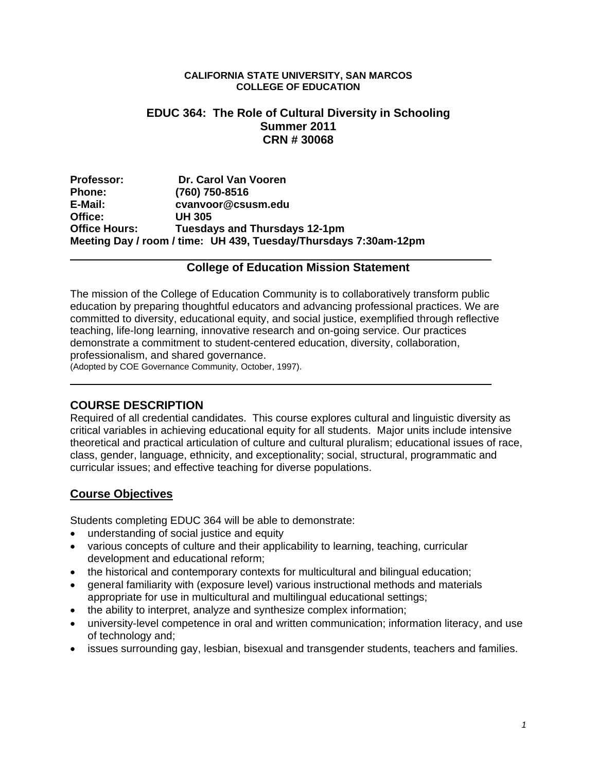#### **CALIFORNIA STATE UNIVERSITY, SAN MARCOS COLLEGE OF EDUCATION**

### **EDUC 364: The Role of Cultural Diversity in Schooling Summer 2011 CRN # 30068**

Professor: **Dr. Carol Van Vooren Phone: (760) 750-8516 E-Mail: cvanvoor@csusm.edu Office: UH 305 Office Hours: Tuesdays and Thursdays 12-1pm Meeting Day / room / time: UH 439, Tuesday/Thursdays 7:30am-12pm** 

### **College of Education Mission Statement**

The mission of the College of Education Community is to collaboratively transform public education by preparing thoughtful educators and advancing professional practices. We are committed to diversity, educational equity, and social justice, exemplified through reflective teaching, life-long learning, innovative research and on-going service. Our practices demonstrate a commitment to student-centered education, diversity, collaboration, professionalism, and shared governance.

(Adopted by COE Governance Community, October, 1997).

## **COURSE DESCRIPTION**

Required of all credential candidates. This course explores cultural and linguistic diversity as critical variables in achieving educational equity for all students. Major units include intensive theoretical and practical articulation of culture and cultural pluralism; educational issues of race, class, gender, language, ethnicity, and exceptionality; social, structural, programmatic and curricular issues; and effective teaching for diverse populations.

## **Course Objectives**

Students completing EDUC 364 will be able to demonstrate:

- understanding of social justice and equity
- various concepts of culture and their applicability to learning, teaching, curricular development and educational reform;
- the historical and contemporary contexts for multicultural and bilingual education;
- general familiarity with (exposure level) various instructional methods and materials appropriate for use in multicultural and multilingual educational settings;
- the ability to interpret, analyze and synthesize complex information;
- university-level competence in oral and written communication; information literacy, and use of technology and;
- issues surrounding gay, lesbian, bisexual and transgender students, teachers and families.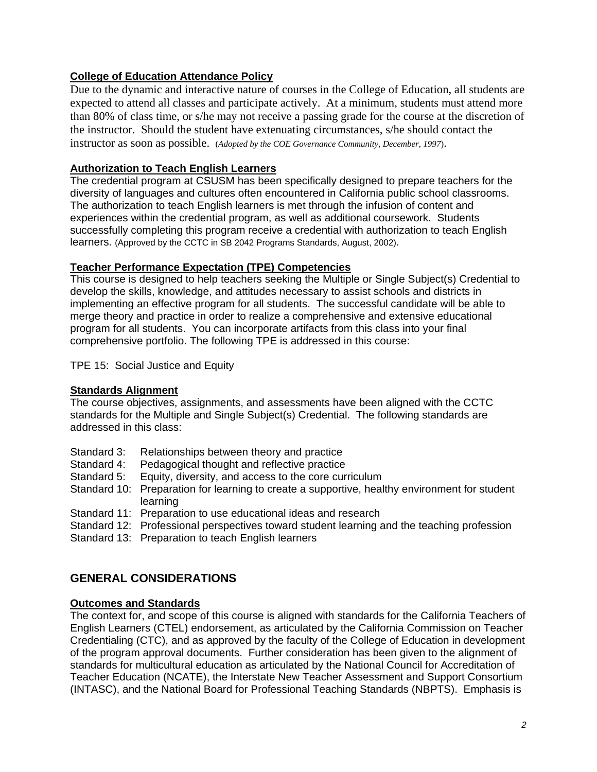### **College of Education Attendance Policy**

Due to the dynamic and interactive nature of courses in the College of Education, all students are expected to attend all classes and participate actively. At a minimum, students must attend more than 80% of class time, or s/he may not receive a passing grade for the course at the discretion of the instructor. Should the student have extenuating circumstances, s/he should contact the instructor as soon as possible. (*Adopted by the COE Governance Community, December, 1997*).

### **Authorization to Teach English Learners**

The credential program at CSUSM has been specifically designed to prepare teachers for the diversity of languages and cultures often encountered in California public school classrooms. The authorization to teach English learners is met through the infusion of content and experiences within the credential program, as well as additional coursework. Students successfully completing this program receive a credential with authorization to teach English learners. (Approved by the CCTC in SB 2042 Programs Standards, August, 2002).

### **Teacher Performance Expectation (TPE) Competencies**

This course is designed to help teachers seeking the Multiple or Single Subject(s) Credential to develop the skills, knowledge, and attitudes necessary to assist schools and districts in implementing an effective program for all students. The successful candidate will be able to merge theory and practice in order to realize a comprehensive and extensive educational program for all students. You can incorporate artifacts from this class into your final comprehensive portfolio. The following TPE is addressed in this course:

TPE 15: Social Justice and Equity

### **Standards Alignment**

The course objectives, assignments, and assessments have been aligned with the CCTC standards for the Multiple and Single Subject(s) Credential. The following standards are addressed in this class:

- Standard 3: Relationships between theory and practice
- Standard 4: Pedagogical thought and reflective practice
- Standard 5: Equity, diversity, and access to the core curriculum
- Standard 10: Preparation for learning to create a supportive, healthy environment for student learning
- Standard 11: Preparation to use educational ideas and research
- Standard 12: Professional perspectives toward student learning and the teaching profession

Standard 13: Preparation to teach English learners

# **GENERAL CONSIDERATIONS**

### **Outcomes and Standards**

The context for, and scope of this course is aligned with standards for the California Teachers of English Learners (CTEL) endorsement, as articulated by the California Commission on Teacher Credentialing (CTC), and as approved by the faculty of the College of Education in development of the program approval documents. Further consideration has been given to the alignment of standards for multicultural education as articulated by the National Council for Accreditation of Teacher Education (NCATE), the Interstate New Teacher Assessment and Support Consortium (INTASC), and the National Board for Professional Teaching Standards (NBPTS). Emphasis is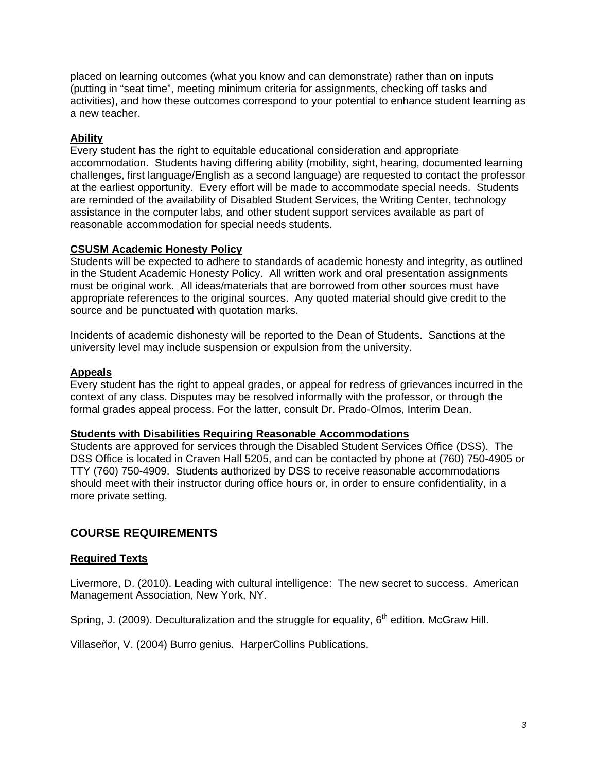placed on learning outcomes (what you know and can demonstrate) rather than on inputs (putting in "seat time", meeting minimum criteria for assignments, checking off tasks and activities), and how these outcomes correspond to your potential to enhance student learning as a new teacher.

### **Ability**

Every student has the right to equitable educational consideration and appropriate accommodation. Students having differing ability (mobility, sight, hearing, documented learning challenges, first language/English as a second language) are requested to contact the professor at the earliest opportunity. Every effort will be made to accommodate special needs. Students are reminded of the availability of Disabled Student Services, the Writing Center, technology assistance in the computer labs, and other student support services available as part of reasonable accommodation for special needs students.

### **CSUSM Academic Honesty Policy**

Students will be expected to adhere to standards of academic honesty and integrity, as outlined in the Student Academic Honesty Policy. All written work and oral presentation assignments must be original work. All ideas/materials that are borrowed from other sources must have appropriate references to the original sources. Any quoted material should give credit to the source and be punctuated with quotation marks.

Incidents of academic dishonesty will be reported to the Dean of Students. Sanctions at the university level may include suspension or expulsion from the university.

#### **Appeals**

Every student has the right to appeal grades, or appeal for redress of grievances incurred in the context of any class. Disputes may be resolved informally with the professor, or through the formal grades appeal process. For the latter, consult Dr. Prado-Olmos, Interim Dean.

#### **Students with Disabilities Requiring Reasonable Accommodations**

Students are approved for services through the Disabled Student Services Office (DSS). The DSS Office is located in Craven Hall 5205, and can be contacted by phone at (760) 750-4905 or TTY (760) 750-4909. Students authorized by DSS to receive reasonable accommodations should meet with their instructor during office hours or, in order to ensure confidentiality, in a more private setting.

## **COURSE REQUIREMENTS**

### **Required Texts**

Livermore, D. (2010). Leading with cultural intelligence: The new secret to success. American Management Association, New York, NY.

Spring, J. (2009). Deculturalization and the struggle for equality,  $6<sup>th</sup>$  edition. McGraw Hill.

Villaseñor, V. (2004) Burro genius. HarperCollins Publications.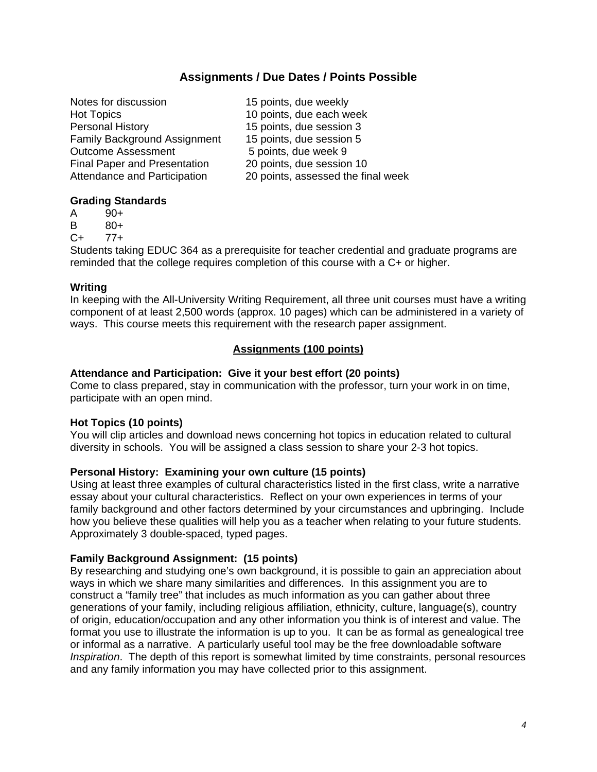## **Assignments / Due Dates / Points Possible**

| 15 points, due weekly              |
|------------------------------------|
| 10 points, due each week           |
| 15 points, due session 3           |
| 15 points, due session 5           |
| 5 points, due week 9               |
| 20 points, due session 10          |
| 20 points, assessed the final week |
|                                    |

#### **Grading Standards**

- A 90+
- B 80+
- C+ 77+

Students taking EDUC 364 as a prerequisite for teacher credential and graduate programs are reminded that the college requires completion of this course with a C+ or higher.

### **Writing**

In keeping with the All-University Writing Requirement, all three unit courses must have a writing component of at least 2,500 words (approx. 10 pages) which can be administered in a variety of ways. This course meets this requirement with the research paper assignment.

### **Assignments (100 points)**

### **Attendance and Participation: Give it your best effort (20 points)**

Come to class prepared, stay in communication with the professor, turn your work in on time, participate with an open mind.

### **Hot Topics (10 points)**

You will clip articles and download news concerning hot topics in education related to cultural diversity in schools. You will be assigned a class session to share your 2-3 hot topics.

### **Personal History: Examining your own culture (15 points)**

Using at least three examples of cultural characteristics listed in the first class, write a narrative essay about your cultural characteristics. Reflect on your own experiences in terms of your family background and other factors determined by your circumstances and upbringing. Include how you believe these qualities will help you as a teacher when relating to your future students. Approximately 3 double-spaced, typed pages.

### **Family Background Assignment: (15 points)**

By researching and studying one's own background, it is possible to gain an appreciation about ways in which we share many similarities and differences. In this assignment you are to construct a "family tree" that includes as much information as you can gather about three generations of your family, including religious affiliation, ethnicity, culture, language(s), country of origin, education/occupation and any other information you think is of interest and value. The format you use to illustrate the information is up to you. It can be as formal as genealogical tree or informal as a narrative. A particularly useful tool may be the free downloadable software *Inspiration*. The depth of this report is somewhat limited by time constraints, personal resources and any family information you may have collected prior to this assignment.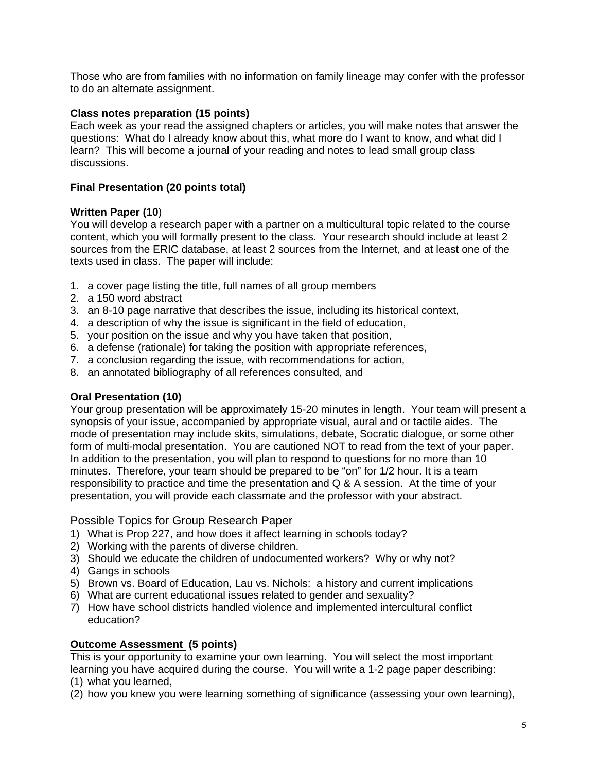Those who are from families with no information on family lineage may confer with the professor to do an alternate assignment.

#### **Class notes preparation (15 points)**

 discussions. Each week as your read the assigned chapters or articles, you will make notes that answer the questions: What do I already know about this, what more do I want to know, and what did I learn? This will become a journal of your reading and notes to lead small group class

#### **Final Presentation (20 points total)**

#### **Written Paper (10**)

You will develop a research paper with a partner on a multicultural topic related to the course content, which you will formally present to the class. Your research should include at least 2 sources from the ERIC database, at least 2 sources from the Internet, and at least one of the texts used in class. The paper will include:

- 1. a cover page listing the title, full names of all group members
- 2. a 150 word abstract
- 3. an 8-10 page narrative that describes the issue, including its historical context,
- 4. a description of why the issue is significant in the field of education,
- 5. your position on the issue and why you have taken that position,
- 6. a defense (rationale) for taking the position with appropriate references,
- 7. a conclusion regarding the issue, with recommendations for action,
- 8. an annotated bibliography of all references consulted, and

### **Oral Presentation (10)**

Your group presentation will be approximately 15-20 minutes in length. Your team will present a synopsis of your issue, accompanied by appropriate visual, aural and or tactile aides. The mode of presentation may include skits, simulations, debate, Socratic dialogue, or some other form of multi-modal presentation. You are cautioned NOT to read from the text of your paper. In addition to the presentation, you will plan to respond to questions for no more than 10 minutes. Therefore, your team should be prepared to be "on" for 1/2 hour. It is a team responsibility to practice and time the presentation and Q & A session. At the time of your presentation, you will provide each classmate and the professor with your abstract.

Possible Topics for Group Research Paper

- 1) What is Prop 227, and how does it affect learning in schools today?
- 2) Working with the parents of diverse children.
- 3) Should we educate the children of undocumented workers? Why or why not?
- 4) Gangs in schools
- 5) Brown vs. Board of Education, Lau vs. Nichols: a history and current implications
- 6) What are current educational issues related to gender and sexuality?
- 7) How have school districts handled violence and implemented intercultural conflict education?

#### **Outcome Assessment (5 points)**

This is your opportunity to examine your own learning. You will select the most important learning you have acquired during the course. You will write a 1-2 page paper describing:

- (1) what you learned,
- (2) how you knew you were learning something of significance (assessing your own learning),